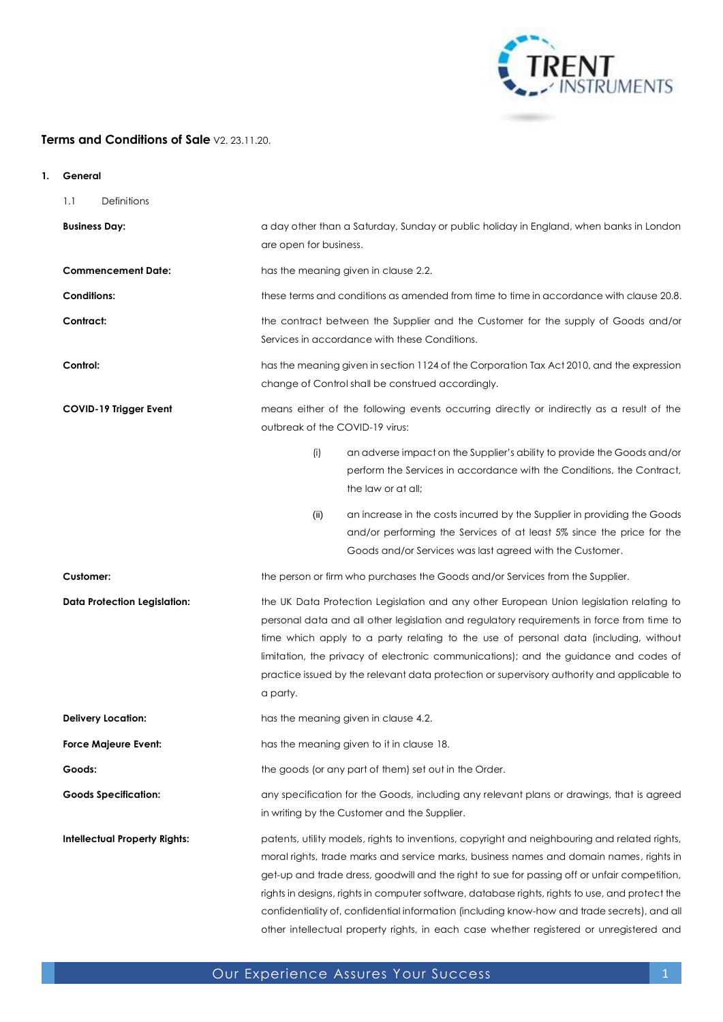

# **Terms and Conditions of Sale** V2. 23.11.20.

- **1. General** 
	- 1.1 Definitions

| <b>Business Day:</b>                 | a day other than a Saturday, Sunday or public holiday in England, when banks in London<br>are open for business.                                                                                                                                                                                                                                                                                                                                                                                                                                                                       |
|--------------------------------------|----------------------------------------------------------------------------------------------------------------------------------------------------------------------------------------------------------------------------------------------------------------------------------------------------------------------------------------------------------------------------------------------------------------------------------------------------------------------------------------------------------------------------------------------------------------------------------------|
| <b>Commencement Date:</b>            | has the meaning given in clause 2.2.                                                                                                                                                                                                                                                                                                                                                                                                                                                                                                                                                   |
| <b>Conditions:</b>                   | these terms and conditions as amended from time to time in accordance with clause 20.8.                                                                                                                                                                                                                                                                                                                                                                                                                                                                                                |
| Contract:                            | the contract between the Supplier and the Customer for the supply of Goods and/or<br>Services in accordance with these Conditions.                                                                                                                                                                                                                                                                                                                                                                                                                                                     |
| Control:                             | has the meaning given in section 1124 of the Corporation Tax Act 2010, and the expression<br>change of Control shall be construed accordingly.                                                                                                                                                                                                                                                                                                                                                                                                                                         |
| COVID-19 Trigger Event               | means either of the following events occurring directly or indirectly as a result of the<br>outbreak of the COVID-19 virus:                                                                                                                                                                                                                                                                                                                                                                                                                                                            |
|                                      | (i)<br>an adverse impact on the Supplier's ability to provide the Goods and/or<br>perform the Services in accordance with the Conditions, the Contract,<br>the law or at all:                                                                                                                                                                                                                                                                                                                                                                                                          |
|                                      | (ii)<br>an increase in the costs incurred by the Supplier in providing the Goods<br>and/or performing the Services of at least 5% since the price for the<br>Goods and/or Services was last agreed with the Customer.                                                                                                                                                                                                                                                                                                                                                                  |
| Customer:                            | the person or firm who purchases the Goods and/or Services from the Supplier.                                                                                                                                                                                                                                                                                                                                                                                                                                                                                                          |
| <b>Data Protection Legislation:</b>  | the UK Data Protection Legislation and any other European Union legislation relating to<br>personal data and all other legislation and regulatory requirements in force from time to<br>time which apply to a party relating to the use of personal data (including, without<br>limitation, the privacy of electronic communications); and the guidance and codes of<br>practice issued by the relevant data protection or supervisory authority and applicable to<br>a party.                                                                                                         |
| <b>Delivery Location:</b>            | has the meaning given in clause 4.2.                                                                                                                                                                                                                                                                                                                                                                                                                                                                                                                                                   |
| <b>Force Majeure Event:</b>          | has the meaning given to it in clause 18.                                                                                                                                                                                                                                                                                                                                                                                                                                                                                                                                              |
| Goods:                               | the goods (or any part of them) set out in the Order.                                                                                                                                                                                                                                                                                                                                                                                                                                                                                                                                  |
| <b>Goods Specification:</b>          | any specification for the Goods, including any relevant plans or drawings, that is agreed<br>in writing by the Customer and the Supplier.                                                                                                                                                                                                                                                                                                                                                                                                                                              |
| <b>Intellectual Property Rights:</b> | patents, utility models, rights to inventions, copyright and neighbouring and related rights,<br>moral rights, trade marks and service marks, business names and domain names, rights in<br>get-up and trade dress, goodwill and the right to sue for passing off or unfair competition,<br>rights in designs, rights in computer software, database rights, rights to use, and protect the<br>confidentiality of, confidential information (including know-how and trade secrets), and all<br>other intellectual property rights, in each case whether registered or unregistered and |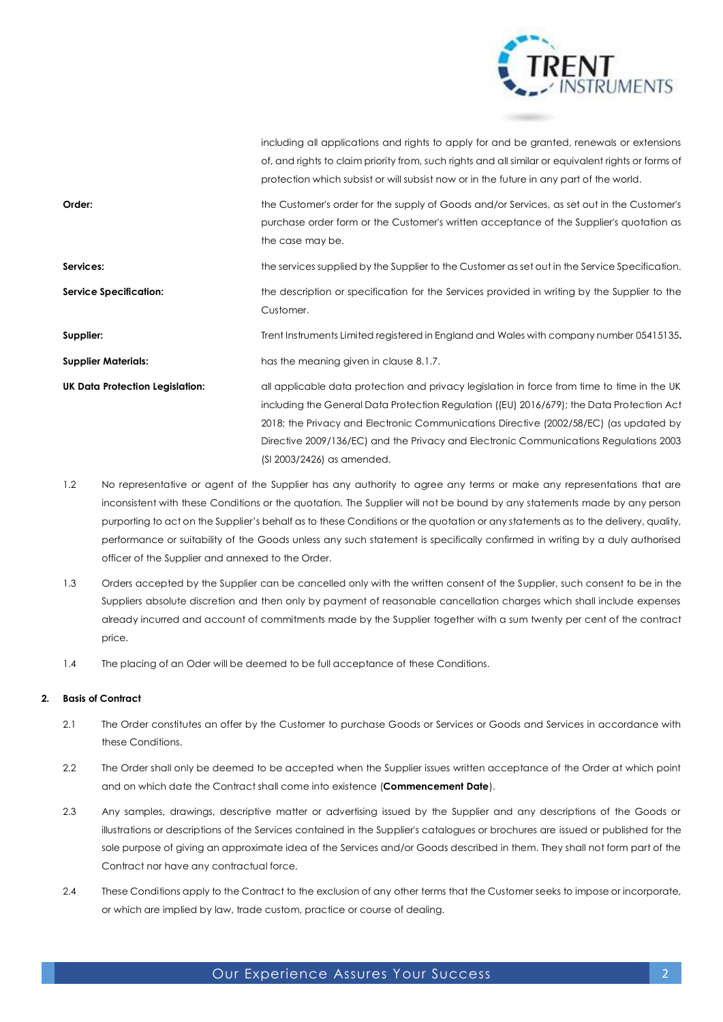

|                                        | including all applications and rights to apply for and be granted, renewals or extensions           |
|----------------------------------------|-----------------------------------------------------------------------------------------------------|
|                                        | of, and rights to claim priority from, such rights and all similar or equivalent rights or forms of |
|                                        | protection which subsist or will subsist now or in the future in any part of the world.             |
| Order:                                 | the Customer's order for the supply of Goods and/or Services, as set out in the Customer's          |
|                                        | purchase order form or the Customer's written acceptance of the Supplier's quotation as             |
|                                        | the case may be.                                                                                    |
| Services:                              | the services supplied by the Supplier to the Customer as set out in the Service Specification.      |
| <b>Service Specification:</b>          | the description or specification for the Services provided in writing by the Supplier to the        |
|                                        | Customer.                                                                                           |
| Supplier:                              | Trent Instruments Limited registered in England and Wales with company number 05415135.             |
| <b>Supplier Materials:</b>             | has the meaning given in clause 8.1.7.                                                              |
| <b>UK Data Protection Legislation:</b> | all applicable data protection and privacy legislation in force from time to time in the UK         |
|                                        | including the General Data Protection Regulation ((EU) 2016/679); the Data Protection Act           |
|                                        | 2018; the Privacy and Electronic Communications Directive (2002/58/EC) (as updated by               |
|                                        | Directive 2009/136/EC) and the Privacy and Electronic Communications Regulations 2003               |
|                                        | (SI 2003/2426) as amended.                                                                          |

- 1.2 No representative or agent of the Supplier has any authority to agree any terms or make any representations that are inconsistent with these Conditions or the quotation. The Supplier will not be bound by any statements made by any person purporting to act on the Supplier's behalf as to these Conditions or the quotation or any statements as to the delivery, quality, performance or suitability of the Goods unless any such statement is specifically confirmed in writing by a duly authorised officer of the Supplier and annexed to the Order.
- 1.3 Orders accepted by the Supplier can be cancelled only with the written consent of the Supplier, such consent to be in the Suppliers absolute discretion and then only by payment of reasonable cancellation charges which shall include expenses already incurred and account of commitments made by the Supplier together with a sum twenty per cent of the contract price.
- 1.4 The placing of an Oder will be deemed to be full acceptance of these Conditions.

## **2. Basis of Contract**

- 2.1 The Order constitutes an offer by the Customer to purchase Goods or Services or Goods and Services in accordance with these Conditions.
- <span id="page-1-0"></span>2.2 The Order shall only be deemed to be accepted when the Supplier issues written acceptance of the Order at which point and on which date the Contract shall come into existence (**Commencement Date**).
- 2.3 Any samples, drawings, descriptive matter or advertising issued by the Supplier and any descriptions of the Goods or illustrations or descriptions of the Services contained in the Supplier's catalogues or brochures are issued or published for the sole purpose of giving an approximate idea of the Services and/or Goods described in them. They shall not form part of the Contract nor have any contractual force.
- 2.4 These Conditions apply to the Contract to the exclusion of any other terms that the Customer seeks to impose or incorporate, or which are implied by law, trade custom, practice or course of dealing.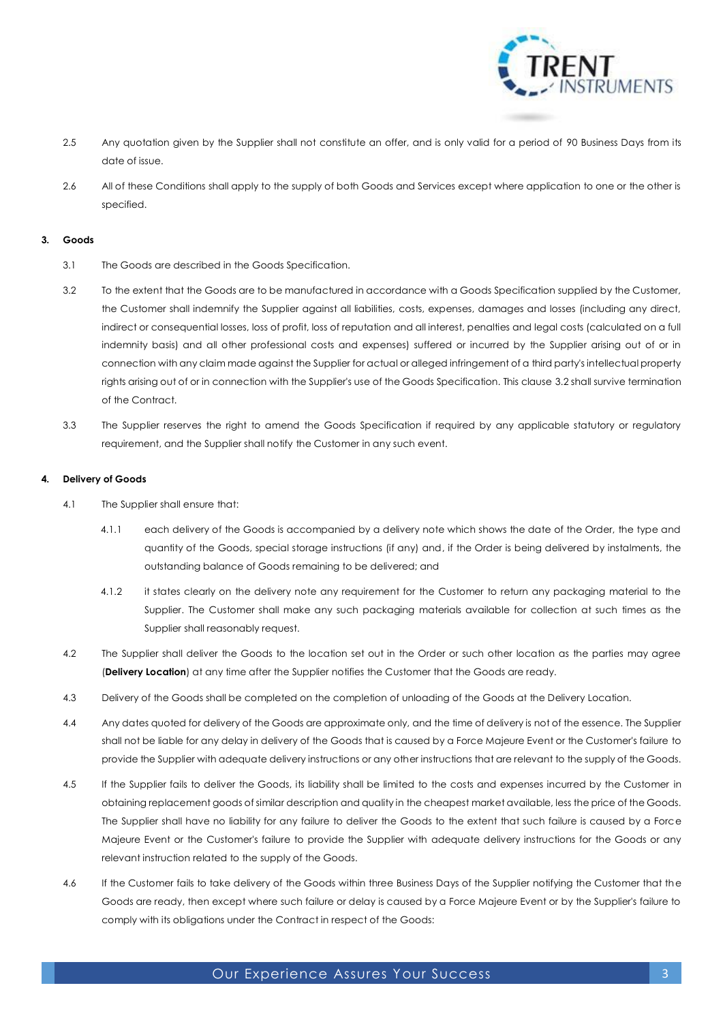

- 2.5 Any quotation given by the Supplier shall not constitute an offer, and is only valid for a period of 90 Business Days from its date of issue.
- 2.6 All of these Conditions shall apply to the supply of both Goods and Services except where application to one or the other is specified.

## **3. Goods**

- 3.1 The Goods are described in the Goods Specification.
- <span id="page-2-1"></span>3.2 To the extent that the Goods are to be manufactured in accordance with a Goods Specification supplied by the Customer, the Customer shall indemnify the Supplier against all liabilities, costs, expenses, damages and losses (including any direct, indirect or consequential losses, loss of profit, loss of reputation and all interest, penalties and legal costs (calculated on a full indemnity basis) and all other professional costs and expenses) suffered or incurred by the Supplier arising out of or in connection with any claim made against the Supplier for actual or alleged infringement of a third party's intellectual property rights arising out of or in connection with the Supplier's use of the Goods Specification. This clause [3.2](#page-2-1) shall survive termination of the Contract.
- 3.3 The Supplier reserves the right to amend the Goods Specification if required by any applicable statutory or regulatory requirement, and the Supplier shall notify the Customer in any such event.

## **4. Delivery of Goods**

- 4.1 The Supplier shall ensure that:
	- 4.1.1 each delivery of the Goods is accompanied by a delivery note which shows the date of the Order, the type and quantity of the Goods, special storage instructions (if any) and, if the Order is being delivered by instalments, the outstanding balance of Goods remaining to be delivered; and
	- 4.1.2 it states clearly on the delivery note any requirement for the Customer to return any packaging material to the Supplier. The Customer shall make any such packaging materials available for collection at such times as the Supplier shall reasonably request.
- <span id="page-2-0"></span>4.2 The Supplier shall deliver the Goods to the location set out in the Order or such other location as the parties may agree (**Delivery Location**) at any time after the Supplier notifies the Customer that the Goods are ready.
- 4.3 Delivery of the Goods shall be completed on the completion of unloading of the Goods at the Delivery Location.
- 4.4 Any dates quoted for delivery of the Goods are approximate only, and the time of delivery is not of the essence. The Supplier shall not be liable for any delay in delivery of the Goods that is caused by a Force Majeure Event or the Customer's failure to provide the Supplier with adequate delivery instructions or any other instructions that are relevant to the supply of the Goods.
- 4.5 If the Supplier fails to deliver the Goods, its liability shall be limited to the costs and expenses incurred by the Customer in obtaining replacement goods of similar description and quality in the cheapest market available, less the price of the Goods. The Supplier shall have no liability for any failure to deliver the Goods to the extent that such failure is caused by a Force Majeure Event or the Customer's failure to provide the Supplier with adequate delivery instructions for the Goods or any relevant instruction related to the supply of the Goods.
- 4.6 If the Customer fails to take delivery of the Goods within three Business Days of the Supplier notifying the Customer that the Goods are ready, then except where such failure or delay is caused by a Force Majeure Event or by the Supplier's failure to comply with its obligations under the Contract in respect of the Goods: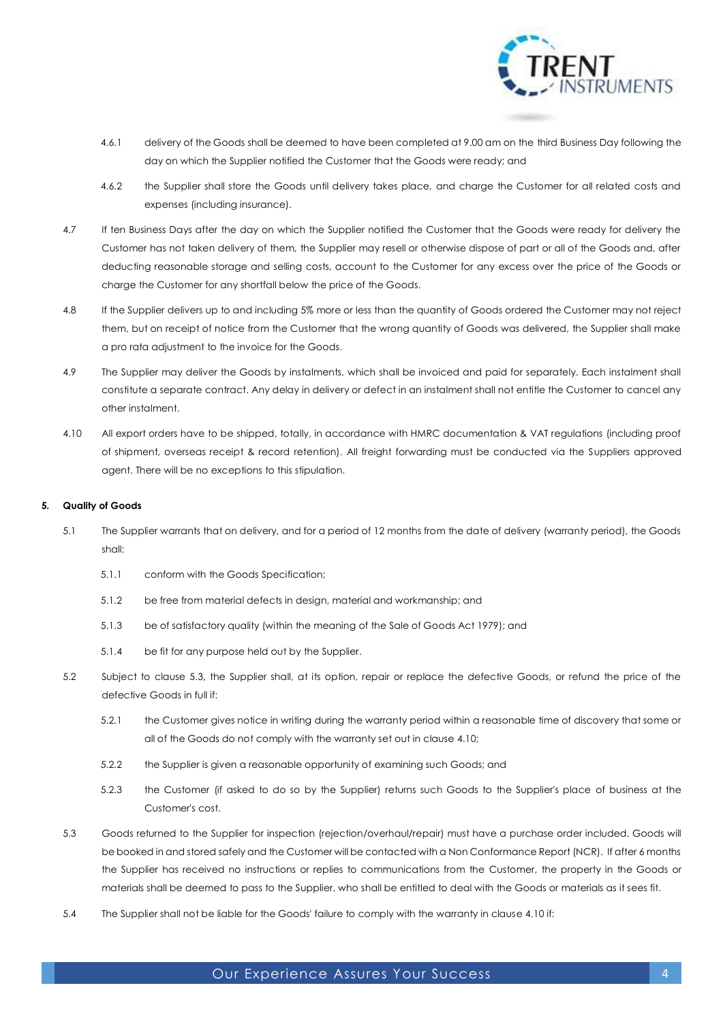

- 4.6.1 delivery of the Goods shall be deemed to have been completed at 9.00 am on the third Business Day following the day on which the Supplier notified the Customer that the Goods were ready; and
- 4.6.2 the Supplier shall store the Goods until delivery takes place, and charge the Customer for all related costs and expenses (including insurance).
- 4.7 If ten Business Days after the day on which the Supplier notified the Customer that the Goods were ready for delivery the Customer has not taken delivery of them, the Supplier may resell or otherwise dispose of part or all of the Goods and, after deducting reasonable storage and selling costs, account to the Customer for any excess over the price of the Goods or charge the Customer for any shortfall below the price of the Goods.
- 4.8 If the Supplier delivers up to and including 5% more or less than the quantity of Goods ordered the Customer may not reject them, but on receipt of notice from the Customer that the wrong quantity of Goods was delivered, the Supplier shall make a pro rata adjustment to the invoice for the Goods.
- 4.9 The Supplier may deliver the Goods by instalments, which shall be invoiced and paid for separately. Each instalment shall constitute a separate contract. Any delay in delivery or defect in an instalment shall not entitle the Customer to cancel any other instalment.
- <span id="page-3-1"></span>4.10 All export orders have to be shipped, totally, in accordance with HMRC documentation & VAT regulations (including proof of shipment, overseas receipt & record retention). All freight forwarding must be conducted via the Suppliers approved agent. There will be no exceptions to this stipulation.

## <span id="page-3-3"></span>**5. Quality of Goods**

- 5.1 The Supplier warrants that on delivery, and for a period of 12 months from the date of delivery (warranty period), the Goods shall:
	- 5.1.1 conform with the Goods Specification;
	- 5.1.2 be free from material defects in design, material and workmanship; and
	- 5.1.3 be of satisfactory quality (within the meaning of the Sale of Goods Act 1979); and
	- 5.1.4 be fit for any purpose held out by the Supplier.
- <span id="page-3-2"></span>5.2 Subject to clause [5.3,](#page-3-0) the Supplier shall, at its option, repair or replace the defective Goods, or refund the price of the defective Goods in full if:
	- 5.2.1 the Customer gives notice in writing during the warranty period within a reasonable time of discovery that some or all of the Goods do not comply with the warranty set out in claus[e 4.10;](#page-3-1)
	- 5.2.2 the Supplier is given a reasonable opportunity of examining such Goods; and
	- 5.2.3 the Customer (if asked to do so by the Supplier) returns such Goods to the Supplier's place of business at the Customer's cost.
- <span id="page-3-0"></span>5.3 Goods returned to the Supplier for inspection (rejection/overhaul/repair) must have a purchase order included. Goods will be booked in and stored safely and the Customer will be contacted with a Non Conformance Report (NCR). If after 6 months the Supplier has received no instructions or replies to communications from the Customer, the property in the Goods or materials shall be deemed to pass to the Supplier, who shall be entitled to deal with the Goods or materials as it sees fit.
- 5.4 The Supplier shall not be liable for the Goods' failure to comply with the warranty in claus[e 4.10](#page-3-1) if:

## Our Experience Assures Your Success 44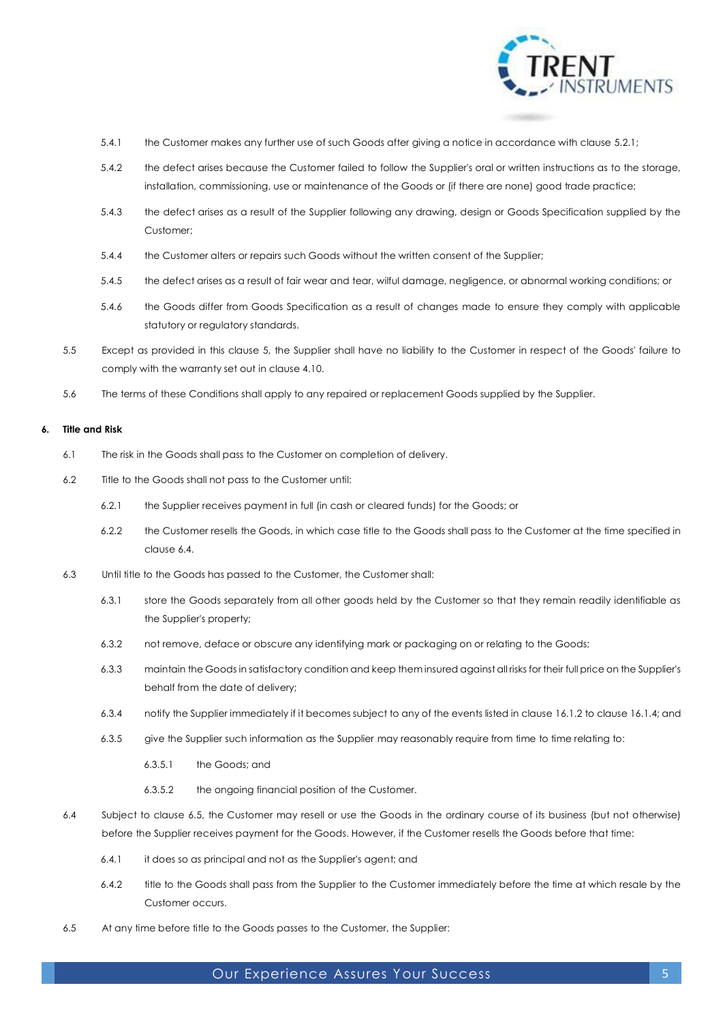

- 5.4.1 the Customer makes any further use of such Goods after giving a notice in accordance with clause [5.2.1;](#page-3-2)
- 5.4.2 the defect arises because the Customer failed to follow the Supplier's oral or written instructions as to the storage, installation, commissioning, use or maintenance of the Goods or (if there are none) good trade practice;
- 5.4.3 the defect arises as a result of the Supplier following any drawing, design or Goods Specification supplied by the Customer;
- 5.4.4 the Customer alters or repairs such Goods without the written consent of the Supplier;
- 5.4.5 the defect arises as a result of fair wear and tear, wilful damage, negligence, or abnormal working conditions; or
- 5.4.6 the Goods differ from Goods Specification as a result of changes made to ensure they comply with applicable statutory or regulatory standards.
- 5.5 Except as provided in this clause [5,](#page-3-3) the Supplier shall have no liability to the Customer in respect of the Goods' failure to comply with the warranty set out in claus[e 4.10.](#page-3-1)
- 5.6 The terms of these Conditions shall apply to any repaired or replacement Goods supplied by the Supplier.

## **6. Title and Risk**

- 6.1 The risk in the Goods shall pass to the Customer on completion of delivery.
- 6.2 Title to the Goods shall not pass to the Customer until:
	- 6.2.1 the Supplier receives payment in full (in cash or cleared funds) for the Goods; or
	- 6.2.2 the Customer resells the Goods, in which case title to the Goods shall pass to the Customer at the time specified in claus[e 6.4.](#page-4-0)
- 6.3 Until title to the Goods has passed to the Customer, the Customer shall:
	- 6.3.1 store the Goods separately from all other goods held by the Customer so that they remain readily identifiable as the Supplier's property;
	- 6.3.2 not remove, deface or obscure any identifying mark or packaging on or relating to the Goods;
	- 6.3.3 maintain the Goods in satisfactory condition and keep them insured against all risks for their full price on the Supplier's behalf from the date of delivery;
	- 6.3.4 notify the Supplier immediately if it becomes subject to any of the events listed in claus[e 16.1.2](#page-8-0) to clause [16.1.4;](#page-8-1) and
	- 6.3.5 give the Supplier such information as the Supplier may reasonably require from time to time relating to:
		- 6.3.5.1 the Goods; and
		- 6.3.5.2 the ongoing financial position of the Customer.
- <span id="page-4-0"></span>6.4 Subject to clause [6.5,](#page-4-1) the Customer may resell or use the Goods in the ordinary course of its business (but not otherwise) before the Supplier receives payment for the Goods. However, if the Customer resells the Goods before that time:
	- 6.4.1 it does so as principal and not as the Supplier's agent; and
	- 6.4.2 title to the Goods shall pass from the Supplier to the Customer immediately before the time at which resale by the Customer occurs.
- <span id="page-4-1"></span>6.5 At any time before title to the Goods passes to the Customer, the Supplier:

## Our Experience Assures Your Success 5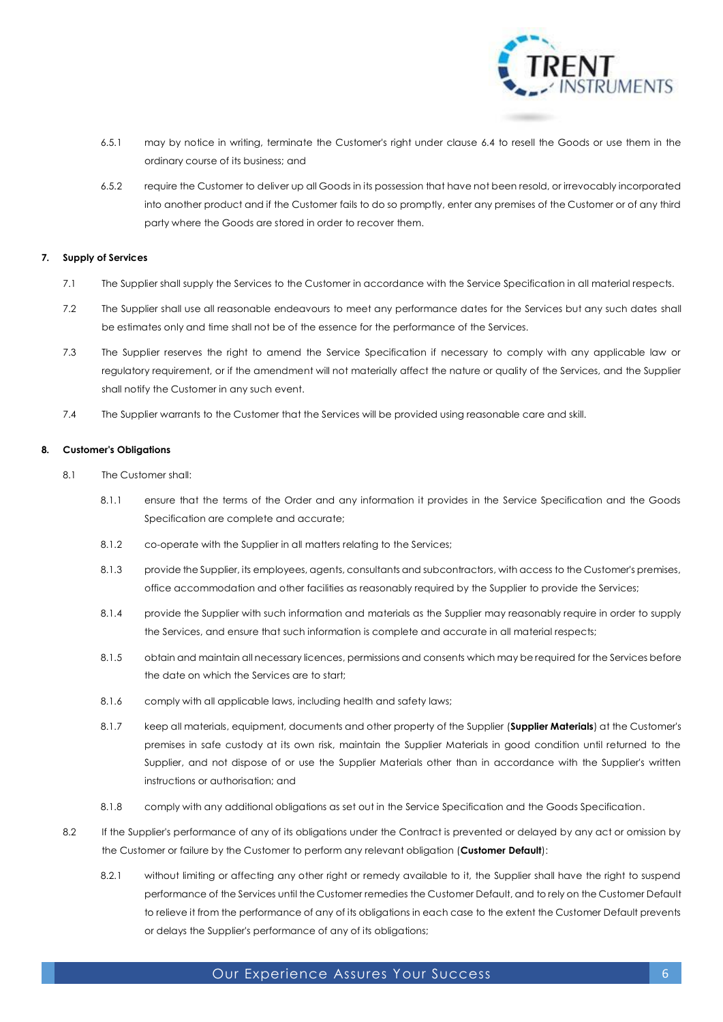

- 6.5.1 may by notice in writing, terminate the Customer's right under clause [6.4](#page-4-0) to resell the Goods or use them in the ordinary course of its business; and
- 6.5.2 require the Customer to deliver up all Goods in its possession that have not been resold, or irrevocably incorporated into another product and if the Customer fails to do so promptly, enter any premises of the Customer or of any third party where the Goods are stored in order to recover them.

## <span id="page-5-2"></span>**7. Supply of Services**

- 7.1 The Supplier shall supply the Services to the Customer in accordance with the Service Specification in all material respects.
- 7.2 The Supplier shall use all reasonable endeavours to meet any performance dates for the Services but any such dates shall be estimates only and time shall not be of the essence for the performance of the Services.
- 7.3 The Supplier reserves the right to amend the Service Specification if necessary to comply with any applicable law or regulatory requirement, or if the amendment will not materially affect the nature or quality of the Services, and the Supplier shall notify the Customer in any such event.
- 7.4 The Supplier warrants to the Customer that the Services will be provided using reasonable care and skill.

## **8. Customer's Obligations**

- 8.1 The Customer shall:
	- 8.1.1 ensure that the terms of the Order and any information it provides in the Service Specification and the Goods Specification are complete and accurate;
	- 8.1.2 co-operate with the Supplier in all matters relating to the Services;
	- 8.1.3 provide the Supplier, its employees, agents, consultants and subcontractors, with access to the Customer's premises, office accommodation and other facilities as reasonably required by the Supplier to provide the Services;
	- 8.1.4 provide the Supplier with such information and materials as the Supplier may reasonably require in order to supply the Services, and ensure that such information is complete and accurate in all material respects;
	- 8.1.5 obtain and maintain all necessary licences, permissions and consents which may be required for the Services before the date on which the Services are to start;
	- 8.1.6 comply with all applicable laws, including health and safety laws;
	- 8.1.7 keep all materials, equipment, documents and other property of the Supplier (**Supplier Materials**) at the Customer's premises in safe custody at its own risk, maintain the Supplier Materials in good condition until returned to the Supplier, and not dispose of or use the Supplier Materials other than in accordance with the Supplier's written instructions or authorisation; and
	- 8.1.8 comply with any additional obligations as set out in the Service Specification and the Goods Specification.
- <span id="page-5-1"></span><span id="page-5-0"></span>8.2 If the Supplier's performance of any of its obligations under the Contract is prevented or delayed by any act or omission by the Customer or failure by the Customer to perform any relevant obligation (**Customer Default**):
	- 8.2.1 without limiting or affecting any other right or remedy available to it, the Supplier shall have the right to suspend performance of the Services until the Customer remedies the Customer Default, and to rely on the Customer Default to relieve it from the performance of any of its obligations in each case to the extent the Customer Default prevents or delays the Supplier's performance of any of its obligations;

## Our Experience Assures Your Success 6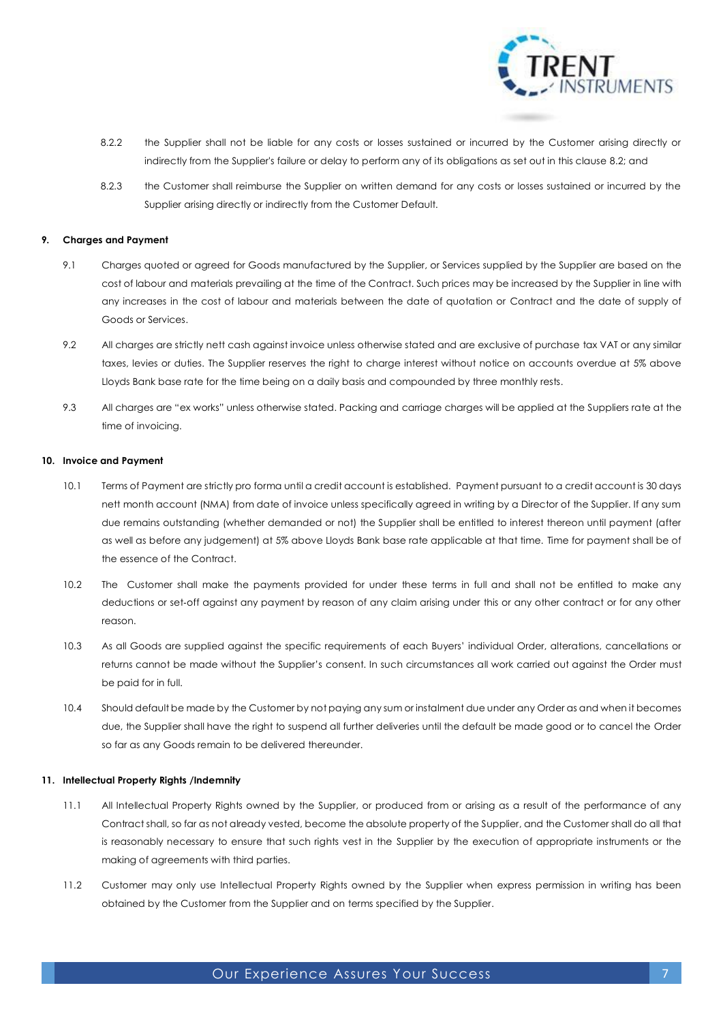

- 8.2.2 the Supplier shall not be liable for any costs or losses sustained or incurred by the Customer arising directly or indirectly from the Supplier's failure or delay to perform any of its obligations as set out in this clause [8.2;](#page-5-1) and
- 8.2.3 the Customer shall reimburse the Supplier on written demand for any costs or losses sustained or incurred by the Supplier arising directly or indirectly from the Customer Default.

## **9. Charges and Payment**

- 9.1 Charges quoted or agreed for Goods manufactured by the Supplier, or Services supplied by the Supplier are based on the cost of labour and materials prevailing at the time of the Contract. Such prices may be increased by the Supplier in line with any increases in the cost of labour and materials between the date of quotation or Contract and the date of supply of Goods or Services.
- 9.2 All charges are strictly nett cash against invoice unless otherwise stated and are exclusive of purchase tax VAT or any similar taxes, levies or duties. The Supplier reserves the right to charge interest without notice on accounts overdue at 5% above Lloyds Bank base rate for the time being on a daily basis and compounded by three monthly rests.
- 9.3 All charges are "ex works" unless otherwise stated. Packing and carriage charges will be applied at the Suppliers rate at the time of invoicing.

#### <span id="page-6-0"></span>**10. Invoice and Payment**

- 10.1 Terms of Payment are strictly pro forma until a credit account is established. Payment pursuant to a credit account is 30 days nett month account (NMA) from date of invoice unless specifically agreed in writing by a Director of the Supplier. If any sum due remains outstanding (whether demanded or not) the Supplier shall be entitled to interest thereon until payment (after as well as before any judgement) at 5% above Lloyds Bank base rate applicable at that time. Time for payment shall be of the essence of the Contract.
- 10.2 The Customer shall make the payments provided for under these terms in full and shall not be entitled to make any deductions or set‐off against any payment by reason of any claim arising under this or any other contract or for any other reason.
- 10.3 As all Goods are supplied against the specific requirements of each Buyers' individual Order, alterations, cancellations or returns cannot be made without the Supplier's consent. In such circumstances all work carried out against the Order must be paid for in full.
- 10.4 Should default be made by the Customer by not paying any sum or instalment due under any Order as and when it becomes due, the Supplier shall have the right to suspend all further deliveries until the default be made good or to cancel the Order so far as any Goods remain to be delivered thereunder.

## **11. Intellectual Property Rights /Indemnity**

- 11.1 All Intellectual Property Rights owned by the Supplier, or produced from or arising as a result of the performance of any Contract shall, so far as not already vested, become the absolute property of the Supplier, and the Customer shall do all that is reasonably necessary to ensure that such rights vest in the Supplier by the execution of appropriate instruments or the making of agreements with third parties.
- 11.2 Customer may only use Intellectual Property Rights owned by the Supplier when express permission in writing has been obtained by the Customer from the Supplier and on terms specified by the Supplier.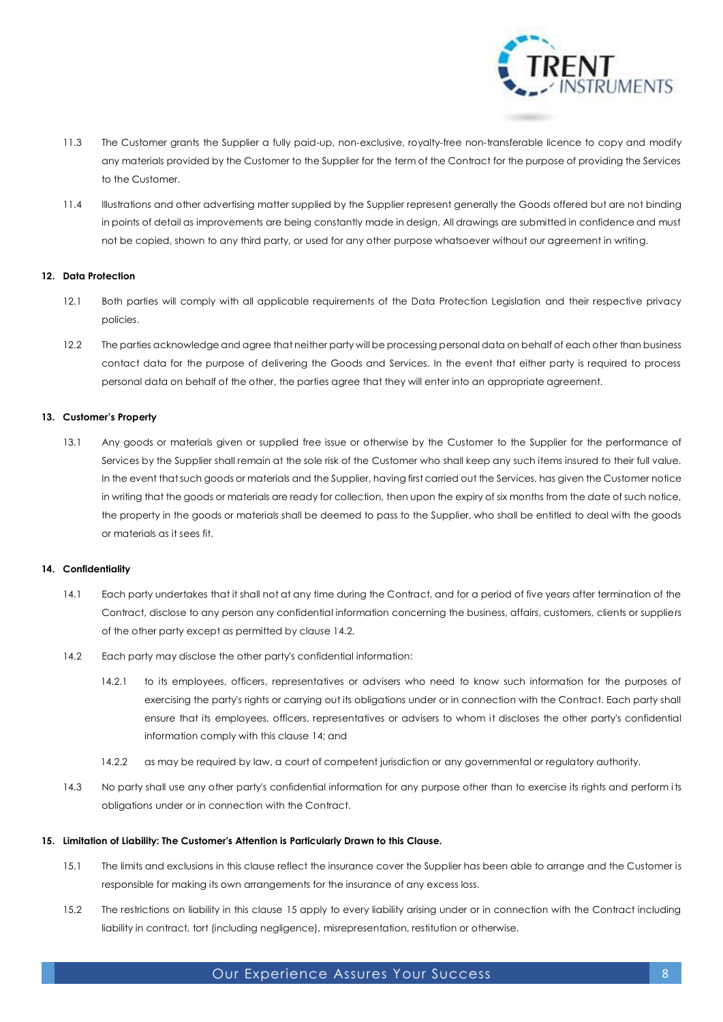

- 11.3 The Customer grants the Supplier a fully paid-up, non-exclusive, royalty-free non-transferable licence to copy and modify any materials provided by the Customer to the Supplier for the term of the Contract for the purpose of providing the Services to the Customer.
- 11.4 Illustrations and other advertising matter supplied by the Supplier represent generally the Goods offered but are not binding in points of detail as improvements are being constantly made in design. All drawings are submitted in confidence and must not be copied, shown to any third party, or used for any other purpose whatsoever without our agreement in writing.

#### **12. Data Protection**

- 12.1 Both parties will comply with all applicable requirements of the Data Protection Legislation and their respective privacy policies.
- 12.2 The parties acknowledge and agree that neither party will be processing personal data on behalf of each other than business contact data for the purpose of delivering the Goods and Services. In the event that either party is required to process personal data on behalf of the other, the parties agree that they will enter into an appropriate agreement.

## **13. Customer's Property**

13.1 Any goods or materials given or supplied free issue or otherwise by the Customer to the Supplier for the performance of Services by the Supplier shall remain at the sole risk of the Customer who shall keep any such items insured to their full value. In the event that such goods or materials and the Supplier, having first carried out the Services, has given the Customer notice in writing that the goods or materials are ready for collection, then upon the expiry of six months from the date of such notice, the property in the goods or materials shall be deemed to pass to the Supplier, who shall be entitled to deal with the goods or materials as it sees fit.

#### <span id="page-7-1"></span>**14. Confidentiality**

- 14.1 Each party undertakes that it shall not at any time during the Contract, and for a period of five years after termination of the Contract, disclose to any person any confidential information concerning the business, affairs, customers, clients or suppliers of the other party except as permitted by claus[e 14.2.](#page-7-0)
- <span id="page-7-0"></span>14.2 Each party may disclose the other party's confidential information:
	- 14.2.1 to its employees, officers, representatives or advisers who need to know such information for the purposes of exercising the party's rights or carrying out its obligations under or in connection with the Contract. Each party shall ensure that its employees, officers, representatives or advisers to whom it discloses the other party's confidential information comply with this clause [14;](#page-7-1) and
	- 14.2.2 as may be required by law, a court of competent jurisdiction or any governmental or regulatory authority.
- 14.3 No party shall use any other party's confidential information for any purpose other than to exercise its rights and perform its obligations under or in connection with the Contract.

## <span id="page-7-2"></span>**15. Limitation of Liability: The Customer's Attention is Particularly Drawn to this Clause.**

- 15.1 The limits and exclusions in this clause reflect the insurance cover the Supplier has been able to arrange and the Customer is responsible for making its own arrangements for the insurance of any excess loss.
- 15.2 The restrictions on liability in this clause [15](#page-7-2) apply to every liability arising under or in connection with the Contract including liability in contract, tort (including negligence), misrepresentation, restitution or otherwise.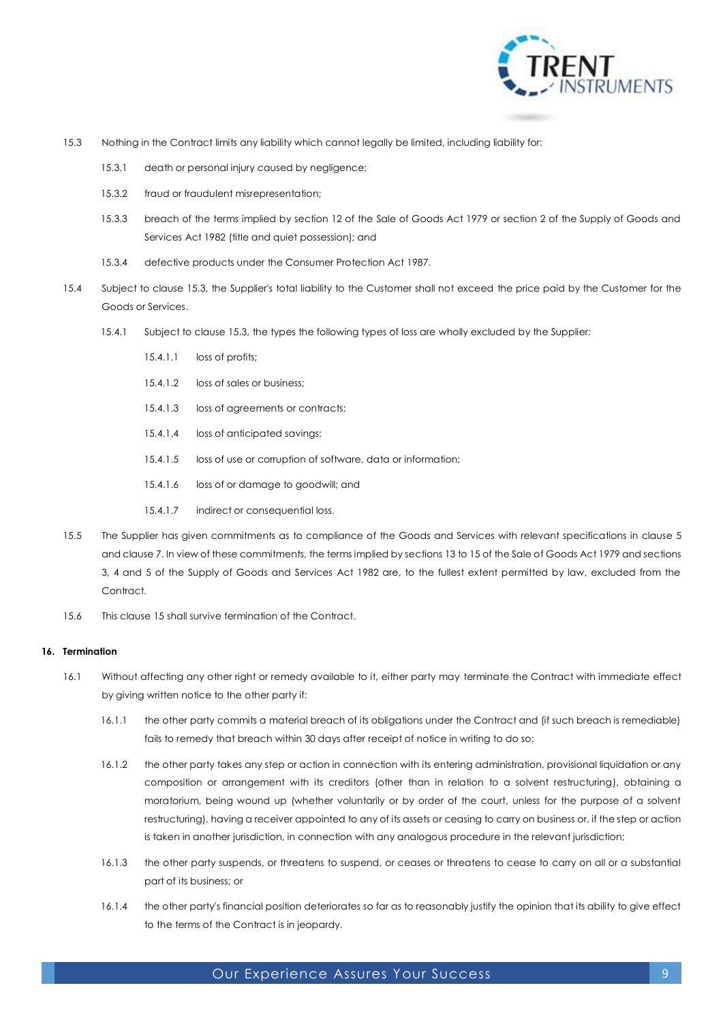

- <span id="page-8-2"></span>15.3 Nothing in the Contract limits any liability which cannot legally be limited, including liability for:
	- 15.3.1 death or personal injury caused by negligence;
	- 15.3.2 fraud or fraudulent misrepresentation;
	- 15.3.3 breach of the terms implied by section 12 of the Sale of Goods Act 1979 or section 2 of the Supply of Goods and Services Act 1982 (title and quiet possession); and
	- 15.3.4 defective products under the Consumer Protection Act 1987.
- 15.4 Subject to clause [15.3,](#page-8-2) the Supplier's total liability to the Customer shall not exceed the price paid by the Customer for the Goods or Services.
	- 15.4.1 Subject to clause [15.3,](#page-8-2) the types the following types of loss are wholly excluded by the Supplier:
		- 15.4.1.1 loss of profits;
		- 15.4.1.2 loss of sales or business;
		- 15.4.1.3 loss of agreements or contracts;
		- 15.4.1.4 loss of anticipated savings;
		- 15.4.1.5 loss of use or corruption of software, data or information;
		- 15.4.1.6 loss of or damage to goodwill; and
		- 15.4.1.7 indirect or consequential loss.
- 15.5 The Supplier has given commitments as to compliance of the Goods and Services with relevant specifications in clause [5](#page-3-3) and claus[e 7.](#page-5-2) In view of these commitments, the terms implied by sections 13 to 15 of the Sale of Goods Act 1979 and sections 3, 4 and 5 of the Supply of Goods and Services Act 1982 are, to the fullest extent permitted by law, excluded from the Contract.
- 15.6 This claus[e 15](#page-7-2) shall survive termination of the Contract.

#### **16. Termination**

- <span id="page-8-1"></span><span id="page-8-0"></span>16.1 Without affecting any other right or remedy available to it, either party may terminate the Contract with immediate effect by giving written notice to the other party if:
	- 16.1.1 the other party commits a material breach of its obligations under the Contract and (if such breach is remediable) fails to remedy that breach within 30 days after receipt of notice in writing to do so;
	- 16.1.2 the other party takes any step or action in connection with its entering administration, provisional liquidation or any composition or arrangement with its creditors (other than in relation to a solvent restructuring), obtaining a moratorium, being wound up (whether voluntarily or by order of the court, unless for the purpose of a solvent restructuring), having a receiver appointed to any of its assets or ceasing to carry on business or, if the step or action is taken in another jurisdiction, in connection with any analogous procedure in the relevant jurisdiction;
	- 16.1.3 the other party suspends, or threatens to suspend, or ceases or threatens to cease to carry on all or a substantial part of its business; or
	- 16.1.4 the other party's financial position deteriorates so far as to reasonably justify the opinion that its ability to give effect to the terms of the Contract is in jeopardy.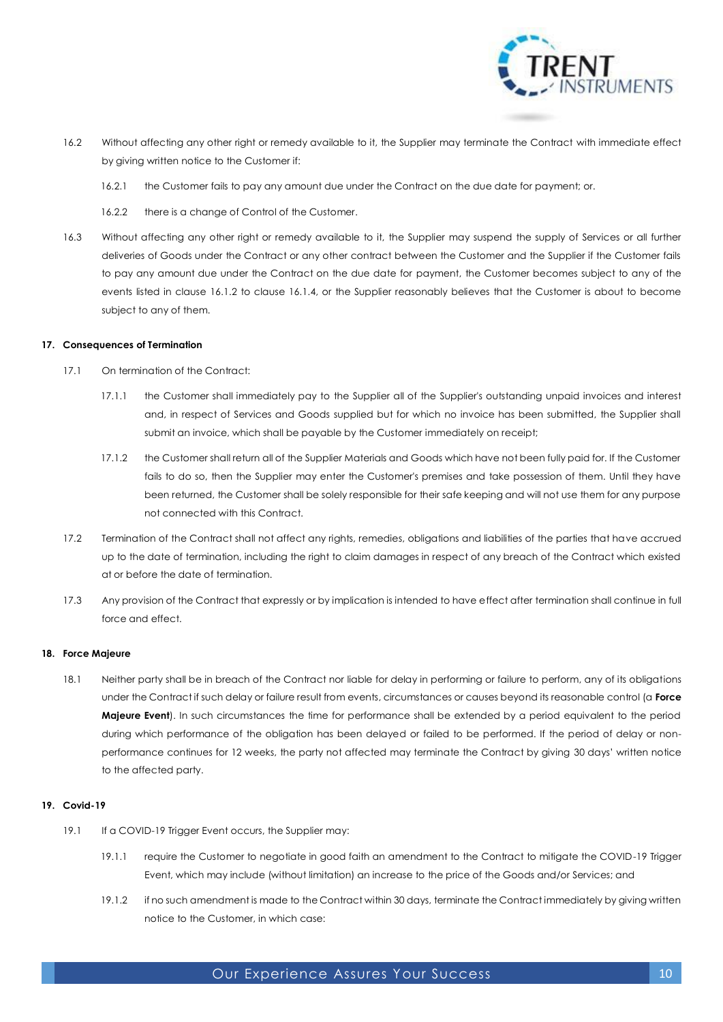

- 16.2 Without affecting any other right or remedy available to it, the Supplier may terminate the Contract with immediate effect by giving written notice to the Customer if:
	- 16.2.1 the Customer fails to pay any amount due under the Contract on the due date for payment; or.
	- 16.2.2 there is a change of Control of the Customer.
- 16.3 Without affecting any other right or remedy available to it, the Supplier may suspend the supply of Services or all further deliveries of Goods under the Contract or any other contract between the Customer and the Supplier if the Customer fails to pay any amount due under the Contract on the due date for payment, the Customer becomes subject to any of the events listed in clause [16.1.2](#page-8-0) to clause [16.1.4,](#page-8-1) or the Supplier reasonably believes that the Customer is about to become subject to any of them.

## **17. Consequences of Termination**

- 17.1 On termination of the Contract:
	- 17.1.1 the Customer shall immediately pay to the Supplier all of the Supplier's outstanding unpaid invoices and interest and, in respect of Services and Goods supplied but for which no invoice has been submitted, the Supplier shall submit an invoice, which shall be payable by the Customer immediately on receipt;
	- 17.1.2 the Customer shall return all of the Supplier Materials and Goods which have not been fully paid for. If the Customer fails to do so, then the Supplier may enter the Customer's premises and take possession of them. Until they have been returned, the Customer shall be solely responsible for their safe keeping and will not use them for any purpose not connected with this Contract.
- 17.2 Termination of the Contract shall not affect any rights, remedies, obligations and liabilities of the parties that have accrued up to the date of termination, including the right to claim damages in respect of any breach of the Contract which existed at or before the date of termination.
- 17.3 Any provision of the Contract that expressly or by implication is intended to have effect after termination shall continue in full force and effect.

## <span id="page-9-0"></span>**18. Force Majeure**

18.1 Neither party shall be in breach of the Contract nor liable for delay in performing or failure to perform, any of its obligations under the Contract if such delay or failure result from events, circumstances or causes beyond its reasonable control (a **Force Majeure Event**). In such circumstances the time for performance shall be extended by a period equivalent to the period during which performance of the obligation has been delayed or failed to be performed. If the period of delay or nonperformance continues for 12 weeks, the party not affected may terminate the Contract by giving 30 days' written notice to the affected party.

## <span id="page-9-1"></span>**19. Covid-19**

- 19.1 If a COVID-19 Trigger Event occurs, the Supplier may:
	- 19.1.1 require the Customer to negotiate in good faith an amendment to the Contract to mitigate the COVID-19 Trigger Event, which may include (without limitation) an increase to the price of the Goods and/or Services; and
	- 19.1.2 if no such amendment is made to the Contract within 30 days, terminate the Contract immediately by giving written notice to the Customer, in which case: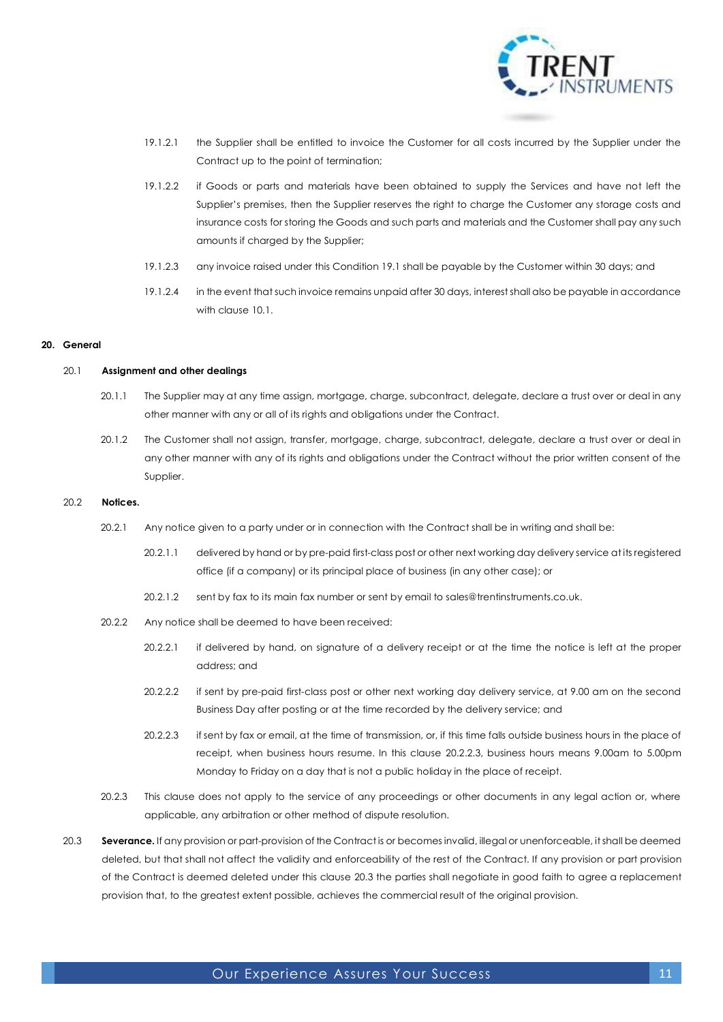

- 19.1.2.1 the Supplier shall be entitled to invoice the Customer for all costs incurred by the Supplier under the Contract up to the point of termination;
- 19.1.2.2 if Goods or parts and materials have been obtained to supply the Services and have not left the Supplier's premises, then the Supplier reserves the right to charge the Customer any storage costs and insurance costs for storing the Goods and such parts and materials and the Customer shall pay any such amounts if charged by the Supplier;
- 19.1.2.3 any invoice raised under this Conditio[n 19.1](#page-9-1) shall be payable by the Customer within 30 days; and
- 19.1.2.4 in the event that such invoice remains unpaid after 30 days, interest shall also be payable in accordance with claus[e 10.1.](#page-6-0)

#### **20. General**

#### 20.1 **Assignment and other dealings**

- 20.1.1 The Supplier may at any time assign, mortgage, charge, subcontract, delegate, declare a trust over or deal in any other manner with any or all of its rights and obligations under the Contract.
- 20.1.2 The Customer shall not assign, transfer, mortgage, charge, subcontract, delegate, declare a trust over or deal in any other manner with any of its rights and obligations under the Contract without the prior written consent of the Supplier.

#### 20.2 **Notices.**

- 20.2.1 Any notice given to a party under or in connection with the Contract shall be in writing and shall be:
	- 20.2.1.1 delivered by hand or by pre-paid first-class post or other next working day delivery service at its registered office (if a company) or its principal place of business (in any other case); or
	- 20.2.1.2 sent by fax to its main fax number or sent by email to sales@trentinstruments.co.uk.
- 20.2.2 Any notice shall be deemed to have been received:
	- 20.2.2.1 if delivered by hand, on signature of a delivery receipt or at the time the notice is left at the proper address; and
	- 20.2.2.2 if sent by pre-paid first-class post or other next working day delivery service, at 9.00 am on the second Business Day after posting or at the time recorded by the delivery service; and
	- 20.2.2.3 if sent by fax or email, at the time of transmission, or, if this time falls outside business hours in the place of receipt, when business hours resume. In this clause [20.2.2.3,](#page-10-0) business hours means 9.00am to 5.00pm Monday to Friday on a day that is not a public holiday in the place of receipt.
- <span id="page-10-0"></span>20.2.3 This clause does not apply to the service of any proceedings or other documents in any legal action or, where applicable, any arbitration or other method of dispute resolution.
- <span id="page-10-1"></span>20.3 **Severance.** If any provision or part-provision of the Contract is or becomes invalid, illegal or unenforceable, it shall be deemed deleted, but that shall not affect the validity and enforceability of the rest of the Contract. If any provision or part provision of the Contract is deemed deleted under this clause [20.3](#page-10-1) the parties shall negotiate in good faith to agree a replacement provision that, to the greatest extent possible, achieves the commercial result of the original provision.